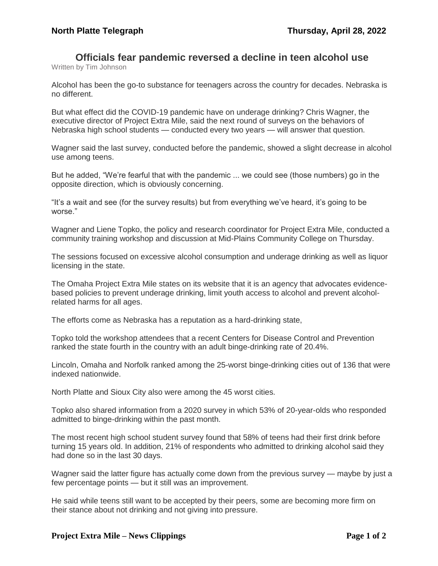## **Officials fear pandemic reversed a decline in teen alcohol use**

Written by Tim Johnson

Alcohol has been the go-to substance for teenagers across the country for decades. Nebraska is no different.

But what effect did the COVID-19 pandemic have on underage drinking? Chris Wagner, the executive director of Project Extra Mile, said the next round of surveys on the behaviors of Nebraska high school students — conducted every two years — will answer that question.

Wagner said the last survey, conducted before the pandemic, showed a slight decrease in alcohol use among teens.

But he added, "We're fearful that with the pandemic ... we could see (those numbers) go in the opposite direction, which is obviously concerning.

"It's a wait and see (for the survey results) but from everything we've heard, it's going to be worse."

Wagner and Liene Topko, the policy and research coordinator for Project Extra Mile, conducted a community training workshop and discussion at Mid-Plains Community College on Thursday.

The sessions focused on excessive alcohol consumption and underage drinking as well as liquor licensing in the state.

The Omaha Project Extra Mile states on its website that it is an agency that advocates evidencebased policies to prevent underage drinking, limit youth access to alcohol and prevent alcoholrelated harms for all ages.

The efforts come as Nebraska has a reputation as a hard-drinking state,

Topko told the workshop attendees that a recent Centers for Disease Control and Prevention ranked the state fourth in the country with an adult binge-drinking rate of 20.4%.

Lincoln, Omaha and Norfolk ranked among the 25-worst binge-drinking cities out of 136 that were indexed nationwide.

North Platte and Sioux City also were among the 45 worst cities.

Topko also shared information from a 2020 survey in which 53% of 20-year-olds who responded admitted to binge-drinking within the past month.

The most recent high school student survey found that 58% of teens had their first drink before turning 15 years old. In addition, 21% of respondents who admitted to drinking alcohol said they had done so in the last 30 days.

Wagner said the latter figure has actually come down from the previous survey — maybe by just a few percentage points — but it still was an improvement.

He said while teens still want to be accepted by their peers, some are becoming more firm on their stance about not drinking and not giving into pressure.